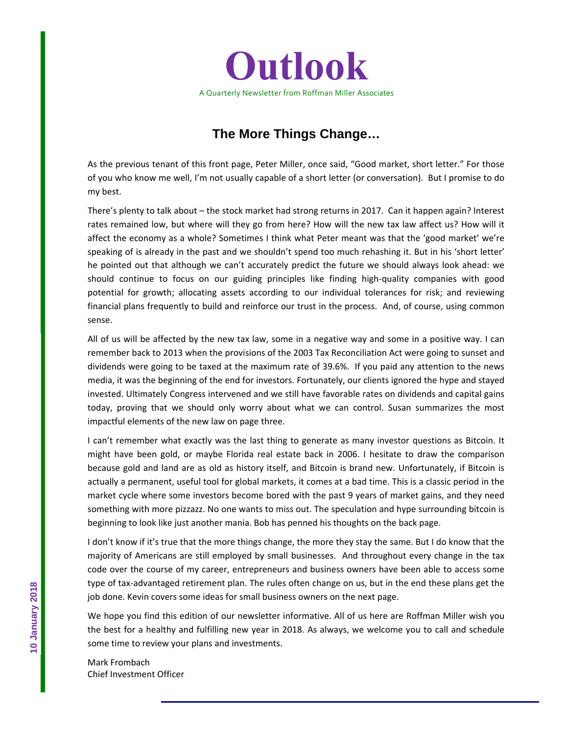

# **The More Things Change…**

As the previous tenant of this front page, Peter Miller, once said, "Good market, short letter." For those of you who know me well, I'm not usually capable of a short letter (or conversation). But I promise to do my best.

There's plenty to talk about – the stock market had strong returns in 2017. Can it happen again? Interest rates remained low, but where will they go from here? How will the new tax law affect us? How will it affect the economy as a whole? Sometimes I think what Peter meant was that the 'good market' we're speaking of is already in the past and we shouldn't spend too much rehashing it. But in his 'short letter' he pointed out that although we can't accurately predict the future we should always look ahead: we should continue to focus on our guiding principles like finding high‐quality companies with good potential for growth; allocating assets according to our individual tolerances for risk; and reviewing financial plans frequently to build and reinforce our trust in the process. And, of course, using common sense.

All of us will be affected by the new tax law, some in a negative way and some in a positive way. I can remember back to 2013 when the provisions of the 2003 Tax Reconciliation Act were going to sunset and dividends were going to be taxed at the maximum rate of 39.6%. If you paid any attention to the news media, it was the beginning of the end for investors. Fortunately, our clients ignored the hype and stayed invested. Ultimately Congress intervened and we still have favorable rates on dividends and capital gains today, proving that we should only worry about what we can control. Susan summarizes the most impactful elements of the new law on page three.

I can't remember what exactly was the last thing to generate as many investor questions as Bitcoin. It might have been gold, or maybe Florida real estate back in 2006. I hesitate to draw the comparison because gold and land are as old as history itself, and Bitcoin is brand new. Unfortunately, if Bitcoin is actually a permanent, useful tool for global markets, it comes at a bad time. This is a classic period in the market cycle where some investors become bored with the past 9 years of market gains, and they need something with more pizzazz. No one wants to miss out. The speculation and hype surrounding bitcoin is beginning to look like just another mania. Bob has penned his thoughts on the back page.

I don't know if it's true that the more things change, the more they stay the same. But I do know that the majority of Americans are still employed by small businesses. And throughout every change in the tax code over the course of my career, entrepreneurs and business owners have been able to access some type of tax‐advantaged retirement plan. The rules often change on us, but in the end these plans get the job done. Kevin covers some ideas for small business owners on the next page.

We hope you find this edition of our newsletter informative. All of us here are Roffman Miller wish you the best for a healthy and fulfilling new year in 2018. As always, we welcome you to call and schedule some time to review your plans and investments.

Mark Frombach Chief Investment Officer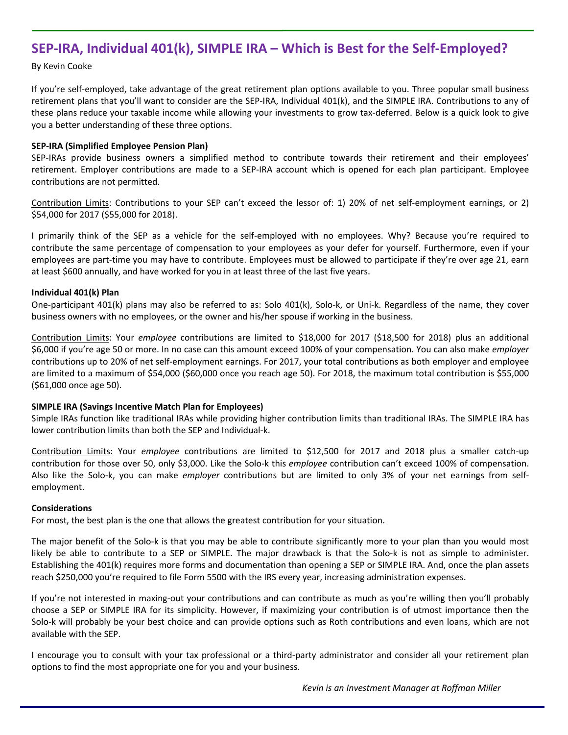# **SEP‐IRA, Individual 401(k), SIMPLE IRA – Which is Best for the Self‐Employed?**

By Kevin Cooke

If you're self‐employed, take advantage of the great retirement plan options available to you. Three popular small business retirement plans that you'll want to consider are the SEP‐IRA, Individual 401(k), and the SIMPLE IRA. Contributions to any of these plans reduce your taxable income while allowing your investments to grow tax‐deferred. Below is a quick look to give you a better understanding of these three options.

# **SEP‐IRA (Simplified Employee Pension Plan)**

SEP‐IRAs provide business owners a simplified method to contribute towards their retirement and their employees' retirement. Employer contributions are made to a SEP‐IRA account which is opened for each plan participant. Employee contributions are not permitted.

Contribution Limits: Contributions to your SEP can't exceed the lessor of: 1) 20% of net self‐employment earnings, or 2) \$54,000 for 2017 (\$55,000 for 2018).

I primarily think of the SEP as a vehicle for the self‐employed with no employees. Why? Because you're required to contribute the same percentage of compensation to your employees as your defer for yourself. Furthermore, even if your employees are part-time you may have to contribute. Employees must be allowed to participate if they're over age 21, earn at least \$600 annually, and have worked for you in at least three of the last five years.

# **Individual 401(k) Plan**

One-participant 401(k) plans may also be referred to as: Solo 401(k), Solo-k, or Uni-k. Regardless of the name, they cover business owners with no employees, or the owner and his/her spouse if working in the business.

Contribution Limits: Your *employee* contributions are limited to \$18,000 for 2017 (\$18,500 for 2018) plus an additional \$6,000 if you're age 50 or more. In no case can this amount exceed 100% of your compensation. You can also make *employer* contributions up to 20% of net self‐employment earnings. For 2017, your total contributions as both employer and employee are limited to a maximum of \$54,000 (\$60,000 once you reach age 50). For 2018, the maximum total contribution is \$55,000 (\$61,000 once age 50).

#### **SIMPLE IRA (Savings Incentive Match Plan for Employees)**

Simple IRAs function like traditional IRAs while providing higher contribution limits than traditional IRAs. The SIMPLE IRA has lower contribution limits than both the SEP and Individual‐k.

Contribution Limits: Your *employee* contributions are limited to \$12,500 for 2017 and 2018 plus a smaller catch‐up contribution for those over 50, only \$3,000. Like the Solo-k this *employee* contribution can't exceed 100% of compensation. Also like the Solo‐k, you can make *employer* contributions but are limited to only 3% of your net earnings from self‐ employment.

#### **Considerations**

For most, the best plan is the one that allows the greatest contribution for your situation.

The major benefit of the Solo-k is that you may be able to contribute significantly more to your plan than you would most likely be able to contribute to a SEP or SIMPLE. The major drawback is that the Solo‐k is not as simple to administer. Establishing the 401(k) requires more forms and documentation than opening a SEP or SIMPLE IRA. And, once the plan assets reach \$250,000 you're required to file Form 5500 with the IRS every year, increasing administration expenses.

If you're not interested in maxing‐out your contributions and can contribute as much as you're willing then you'll probably choose a SEP or SIMPLE IRA for its simplicity. However, if maximizing your contribution is of utmost importance then the Solo-k will probably be your best choice and can provide options such as Roth contributions and even loans, which are not available with the SEP.

I encourage you to consult with your tax professional or a third‐party administrator and consider all your retirement plan options to find the most appropriate one for you and your business.

Kevin is an Investment Manager at Roffman Miller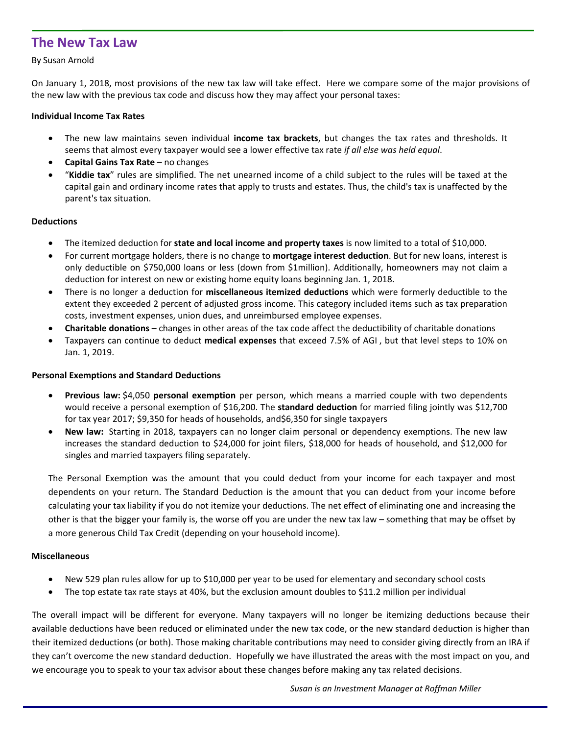# **The New Tax Law**

# By Susan Arnold

On January 1, 2018, most provisions of the new tax law will take effect. Here we compare some of the major provisions of the new law with the previous tax code and discuss how they may affect your personal taxes:

### **Individual Income Tax Rates**

- The new law maintains seven individual **income tax brackets**, but changes the tax rates and thresholds. It seems that almost every taxpayer would see a lower effective tax rate *if all else was held equal*.
- **Capital Gains Tax Rate** no changes
- "**Kiddie tax**" rules are simplified. The net unearned income of a child subject to the rules will be taxed at the capital gain and ordinary income rates that apply to trusts and estates. Thus, the child's tax is unaffected by the parent's tax situation.

# **Deductions**

- The itemized deduction for **state and local income and property taxes** is now limited to a total of \$10,000.
- For current mortgage holders, there is no change to **mortgage interest deduction**. But for new loans, interest is only deductible on \$750,000 loans or less (down from \$1million). Additionally, homeowners may not claim a deduction for interest on new or existing home equity loans beginning Jan. 1, 2018.
- There is no longer a deduction for **miscellaneous itemized deductions** which were formerly deductible to the extent they exceeded 2 percent of adjusted gross income. This category included items such as tax preparation costs, investment expenses, union dues, and unreimbursed employee expenses.
- **Charitable donations** changes in other areas of the tax code affect the deductibility of charitable donations
- Taxpayers can continue to deduct **medical expenses** that exceed 7.5% of AGI , but that level steps to 10% on Jan. 1, 2019.

#### **Personal Exemptions and Standard Deductions**

- **Previous law:** \$4,050 **personal exemption** per person, which means a married couple with two dependents would receive a personal exemption of \$16,200. The **standard deduction** for married filing jointly was \$12,700 for tax year 2017; \$9,350 for heads of households, and\$6,350 for single taxpayers
- **New law:** Starting in 2018, taxpayers can no longer claim personal or dependency exemptions. The new law increases the standard deduction to \$24,000 for joint filers, \$18,000 for heads of household, and \$12,000 for singles and married taxpayers filing separately.

The Personal Exemption was the amount that you could deduct from your income for each taxpayer and most dependents on your return. The Standard Deduction is the amount that you can deduct from your income before calculating your tax liability if you do not itemize your deductions. The net effect of eliminating one and increasing the other is that the bigger your family is, the worse off you are under the new tax law – something that may be offset by a more generous Child Tax Credit (depending on your household income).

#### **Miscellaneous**

- New 529 plan rules allow for up to \$10,000 per year to be used for elementary and secondary school costs
- The top estate tax rate stays at 40%, but the exclusion amount doubles to \$11.2 million per individual

The overall impact will be different for everyone. Many taxpayers will no longer be itemizing deductions because their available deductions have been reduced or eliminated under the new tax code, or the new standard deduction is higher than their itemized deductions (or both). Those making charitable contributions may need to consider giving directly from an IRA if they can't overcome the new standard deduction. Hopefully we have illustrated the areas with the most impact on you, and we encourage you to speak to your tax advisor about these changes before making any tax related decisions.

*Susan is an Investment Manager at Roffman Miller*